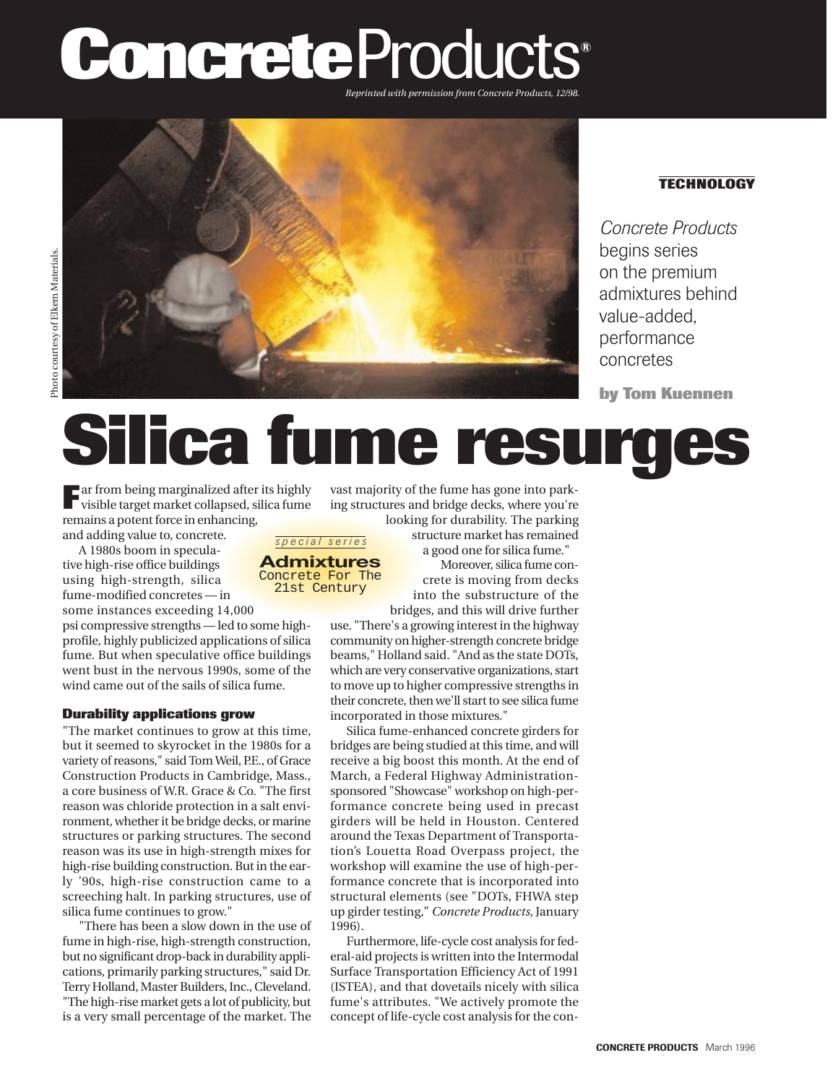# **Concrete** Products**®**

*Reprinted with permission from Concrete Products, 12/98.*



21st Century

## **TECHNOLOGY**

*Concrete Products* begins series on the premium admixtures behind value-added, performance concretes

**by Tom Kuennen** 

## **Silica fume resurg**

**F**ar from being marginalized after its highly visible target market collapsed, silica fume remains a potent force in enhancing, and adding value to, concrete. *special series*

A 1980s boom in speculative high-rise office buildings using high-strength, silica fume-modified concretes — in

some instances exceeding 14,000 psi compressive strengths — led to some highprofile, highly publicized applications of silica fume. But when speculative office buildings went bust in the nervous 1990s, some of the wind came out of the sails of silica fume.

### **Durability applications grow**

"The market continues to grow at this time, but it seemed to skyrocket in the 1980s for a variety of reasons," said Tom Weil, P.E., of Grace Construction Products in Cambridge, Mass., a core business of W.R. Grace & Co. "The first reason was chloride protection in a salt environment, whether it be bridge decks, or marine structures or parking structures. The second reason was its use in high-strength mixes for high-rise building construction. But in the early '90s, high-rise construction came to a screeching halt. In parking structures, use of silica fume continues to grow."

"There has been a slow down in the use of fume in high-rise, high-strength construction, but no significant drop-back in durability applications, primarily parking structures," said Dr. Terry Holland, Master Builders, Inc., Cleveland. "The high-rise market gets a lot of publicity, but is a very small percentage of the market. The vast majority of the fume has gone into parking structures and bridge decks, where you're

crete is moving from decks into the substructure of the **Admixtures** Concrete For The

bridges, and this will drive further use. "There's a growing interest in the highway community on higher-strength concrete bridge beams," Holland said. "And as the state DOTs, which are very conservative organizations, start to move up to higher compressive strengths in their concrete, then we'll start to see silica fume incorporated in those mixtures."

Silica fume-enhanced concrete girders for bridges are being studied at this time, and will receive a big boost this month. At the end of March, a Federal Highway Administrationsponsored "Showcase" workshop on high-performance concrete being used in precast girders will be held in Houston. Centered around the Texas Department of Transportation's Louetta Road Overpass project, the workshop will examine the use of high-performance concrete that is incorporated into structural elements (see "DOTs, FHWA step up girder testing," *Concrete Products*, January 1996).

Furthermore, life-cycle cost analysis for federal-aid projects is written into the Intermodal Surface Transportation Efficiency Act of 1991 (ISTEA), and that dovetails nicely with silica fume's attributes. "We actively promote the concept of life-cycle cost analysis for the con-

looking for durability. The parking structure market has remained a good one for silica fume." Moreover, silica fume con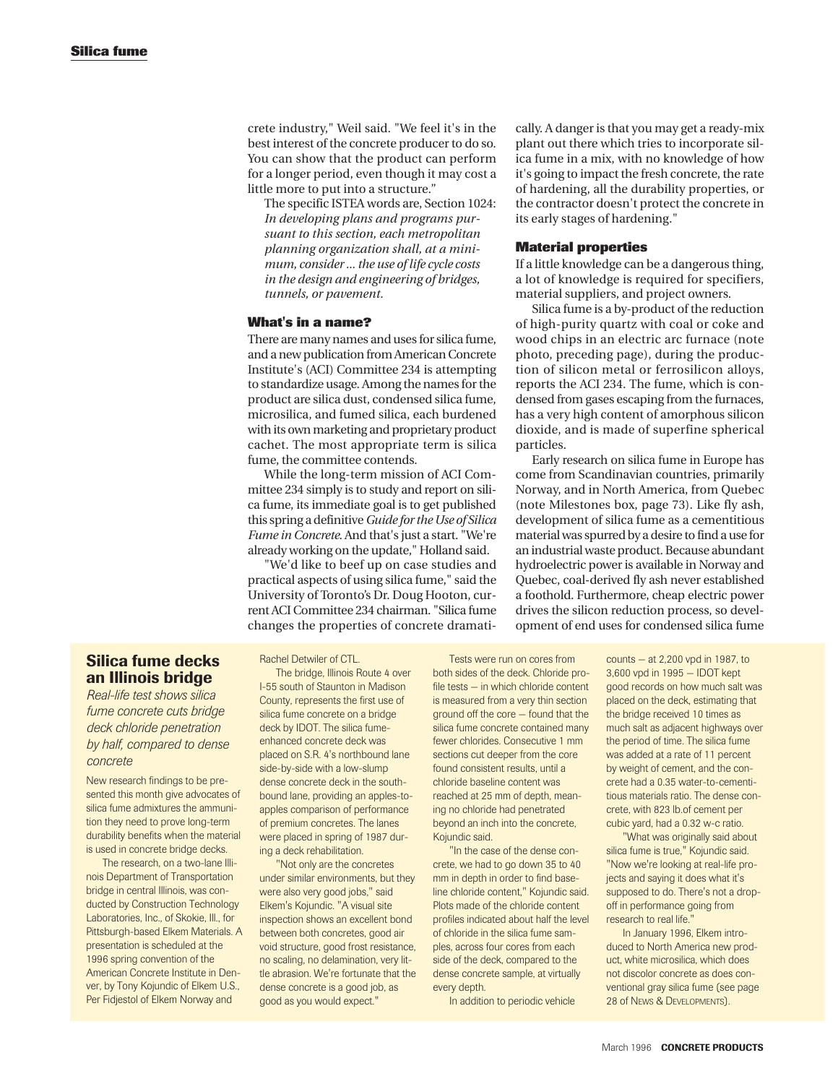crete industry," Weil said. "We feel it's in the best interest of the concrete producer to do so. You can show that the product can perform for a longer period, even though it may cost a little more to put into a structure."

The specific ISTEA words are, Section 1024: *In developing plans and programs pursuant to this section, each metropolitan planning organization shall, at a minimum, consider ... the use of life cycle costs in the design and engineering of bridges, tunnels, or pavement.*

#### **What's in a name?**

There are many names and uses for silica fume, and a new publication from American Concrete Institute's (ACI) Committee 234 is attempting to standardize usage. Among the names for the product are silica dust, condensed silica fume, microsilica, and fumed silica, each burdened with its own marketing and proprietary product cachet. The most appropriate term is silica fume, the committee contends.

While the long-term mission of ACI Committee 234 simply is to study and report on silica fume, its immediate goal is to get published this spring a definitive *Guide for the Use of Silica Fume in Concrete*. And that's just a start. "We're already working on the update," Holland said.

"We'd like to beef up on case studies and practical aspects of using silica fume," said the University of Toronto's Dr. Doug Hooton, current ACI Committee 234 chairman. "Silica fume changes the properties of concrete dramatically. A danger is that you may get a ready-mix plant out there which tries to incorporate silica fume in a mix, with no knowledge of how it's going to impact the fresh concrete, the rate of hardening, all the durability properties, or the contractor doesn't protect the concrete in its early stages of hardening."

#### **Material properties**

If a little knowledge can be a dangerous thing, a lot of knowledge is required for specifiers, material suppliers, and project owners.

Silica fume is a by-product of the reduction of high-purity quartz with coal or coke and wood chips in an electric arc furnace (note photo, preceding page), during the production of silicon metal or ferrosilicon alloys, reports the ACI 234. The fume, which is condensed from gases escaping from the furnaces, has a very high content of amorphous silicon dioxide, and is made of superfine spherical particles.

Early research on silica fume in Europe has come from Scandinavian countries, primarily Norway, and in North America, from Quebec (note Milestones box, page 73). Like fly ash, development of silica fume as a cementitious material was spurred by a desire to find a use for an industrial waste product. Because abundant hydroelectric power is available in Norway and Quebec, coal-derived fly ash never established a foothold. Furthermore, cheap electric power drives the silicon reduction process, so development of end uses for condensed silica fume

## **Silica fume decks an Illinois bridge**

*Real-life test shows silica fume concrete cuts bridge deck chloride penetration by half, compared to dense concrete*

New research findings to be presented this month give advocates of silica fume admixtures the ammunition they need to prove long-term durability benefits when the material is used in concrete bridge decks.

The research, on a two-lane Illinois Department of Transportation bridge in central Illinois, was conducted by Construction Technology Laboratories, Inc., of Skokie, Ill., for Pittsburgh-based Elkem Materials. A presentation is scheduled at the 1996 spring convention of the American Concrete Institute in Denver, by Tony Kojundic of Elkem U.S., Per Fidjestol of Elkem Norway and

Rachel Detwiler of CTL.

The bridge, Illinois Route 4 over I-55 south of Staunton in Madison County, represents the first use of silica fume concrete on a bridge deck by IDOT. The silica fumeenhanced concrete deck was placed on S.R. 4's northbound lane side-by-side with a low-slump dense concrete deck in the southbound lane, providing an apples-toapples comparison of performance of premium concretes. The lanes were placed in spring of 1987 during a deck rehabilitation.

"Not only are the concretes under similar environments, but they were also very good jobs," said Elkem's Kojundic. "A visual site inspection shows an excellent bond between both concretes, good air void structure, good frost resistance, no scaling, no delamination, very little abrasion. We're fortunate that the dense concrete is a good job, as good as you would expect."

Tests were run on cores from both sides of the deck. Chloride profile tests — in which chloride content is measured from a very thin section ground off the core — found that the silica fume concrete contained many fewer chlorides. Consecutive 1 mm sections cut deeper from the core found consistent results, until a chloride baseline content was reached at 25 mm of depth, meaning no chloride had penetrated beyond an inch into the concrete, Kojundic said.

"In the case of the dense concrete, we had to go down 35 to 40 mm in depth in order to find baseline chloride content," Kojundic said. Plots made of the chloride content profiles indicated about half the level of chloride in the silica fume samples, across four cores from each side of the deck, compared to the dense concrete sample, at virtually every depth.

In addition to periodic vehicle

counts — at 2,200 vpd in 1987, to 3,600 vpd in 1995 — IDOT kept good records on how much salt was placed on the deck, estimating that the bridge received 10 times as much salt as adjacent highways over the period of time. The silica fume was added at a rate of 11 percent by weight of cement, and the concrete had a 0.35 water-to-cementitious materials ratio. The dense concrete, with 823 lb.of cement per cubic yard, had a 0.32 w-c ratio.

"What was originally said about silica fume is true," Kojundic said. "Now we're looking at real-life projects and saying it does what it's supposed to do. There's not a dropoff in performance going from research to real life."

In January 1996, Elkem introduced to North America new product, white microsilica, which does not discolor concrete as does conventional gray silica fume (see page 28 of NEWS & DEVELOPMENTS).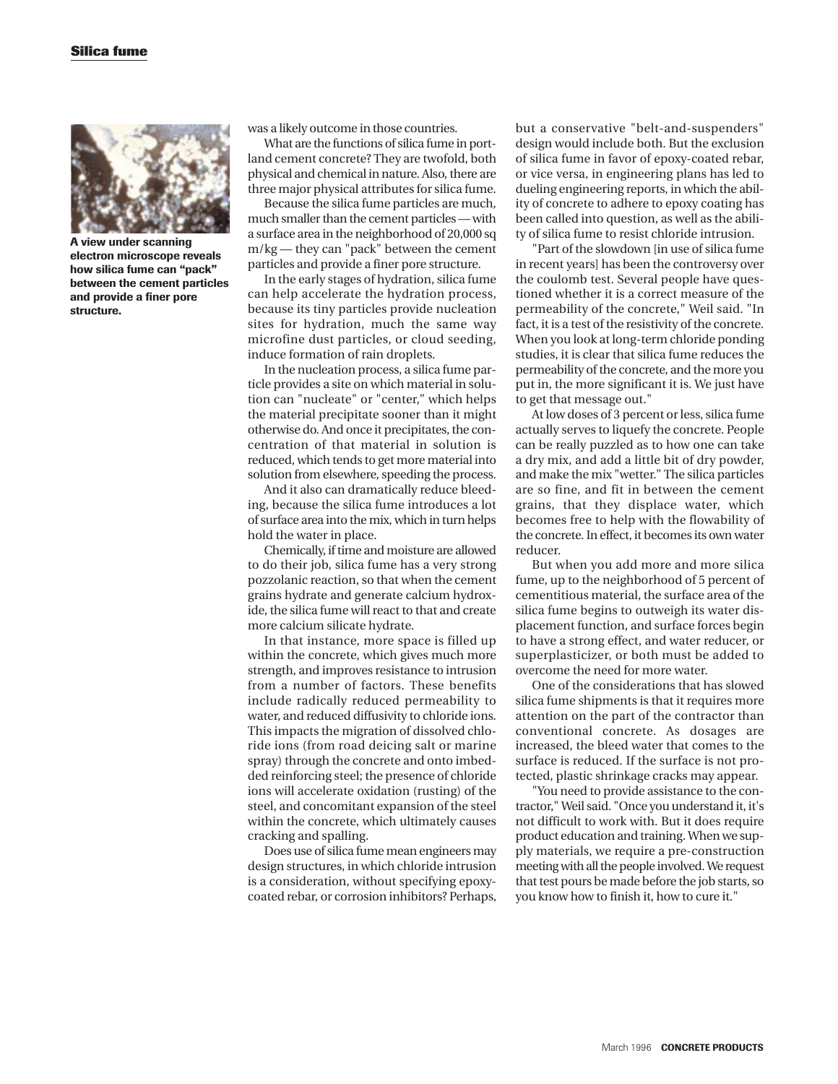

**A view under scanning electron microscope reveals how silica fume can "pack" between the cement particles and provide a finer pore structure.** 

was a likely outcome in those countries.

What are the functions of silica fume in portland cement concrete? They are twofold, both physical and chemical in nature. Also, there are three major physical attributes for silica fume.

Because the silica fume particles are much, much smaller than the cement particles — with a surface area in the neighborhood of 20,000 sq m/kg — they can "pack" between the cement particles and provide a finer pore structure.

In the early stages of hydration, silica fume can help accelerate the hydration process, because its tiny particles provide nucleation sites for hydration, much the same way microfine dust particles, or cloud seeding, induce formation of rain droplets.

In the nucleation process, a silica fume particle provides a site on which material in solution can "nucleate" or "center," which helps the material precipitate sooner than it might otherwise do. And once it precipitates, the concentration of that material in solution is reduced, which tends to get more material into solution from elsewhere, speeding the process.

And it also can dramatically reduce bleeding, because the silica fume introduces a lot of surface area into the mix, which in turn helps hold the water in place.

Chemically, if time and moisture are allowed to do their job, silica fume has a very strong pozzolanic reaction, so that when the cement grains hydrate and generate calcium hydroxide, the silica fume will react to that and create more calcium silicate hydrate.

In that instance, more space is filled up within the concrete, which gives much more strength, and improves resistance to intrusion from a number of factors. These benefits include radically reduced permeability to water, and reduced diffusivity to chloride ions. This impacts the migration of dissolved chloride ions (from road deicing salt or marine spray) through the concrete and onto imbedded reinforcing steel; the presence of chloride ions will accelerate oxidation (rusting) of the steel, and concomitant expansion of the steel within the concrete, which ultimately causes cracking and spalling.

Does use of silica fume mean engineers may design structures, in which chloride intrusion is a consideration, without specifying epoxycoated rebar, or corrosion inhibitors? Perhaps, but a conservative "belt-and-suspenders" design would include both. But the exclusion of silica fume in favor of epoxy-coated rebar, or vice versa, in engineering plans has led to dueling engineering reports, in which the ability of concrete to adhere to epoxy coating has been called into question, as well as the ability of silica fume to resist chloride intrusion.

"Part of the slowdown [in use of silica fume in recent years] has been the controversy over the coulomb test. Several people have questioned whether it is a correct measure of the permeability of the concrete," Weil said. "In fact, it is a test of the resistivity of the concrete. When you look at long-term chloride ponding studies, it is clear that silica fume reduces the permeability of the concrete, and the more you put in, the more significant it is. We just have to get that message out."

At low doses of 3 percent or less, silica fume actually serves to liquefy the concrete. People can be really puzzled as to how one can take a dry mix, and add a little bit of dry powder, and make the mix "wetter." The silica particles are so fine, and fit in between the cement grains, that they displace water, which becomes free to help with the flowability of the concrete. In effect, it becomes its own water reducer.

But when you add more and more silica fume, up to the neighborhood of 5 percent of cementitious material, the surface area of the silica fume begins to outweigh its water displacement function, and surface forces begin to have a strong effect, and water reducer, or superplasticizer, or both must be added to overcome the need for more water.

One of the considerations that has slowed silica fume shipments is that it requires more attention on the part of the contractor than conventional concrete. As dosages are increased, the bleed water that comes to the surface is reduced. If the surface is not protected, plastic shrinkage cracks may appear.

"You need to provide assistance to the contractor," Weil said. "Once you understand it, it's not difficult to work with. But it does require product education and training. When we supply materials, we require a pre-construction meeting with all the people involved. We request that test pours be made before the job starts, so you know how to finish it, how to cure it."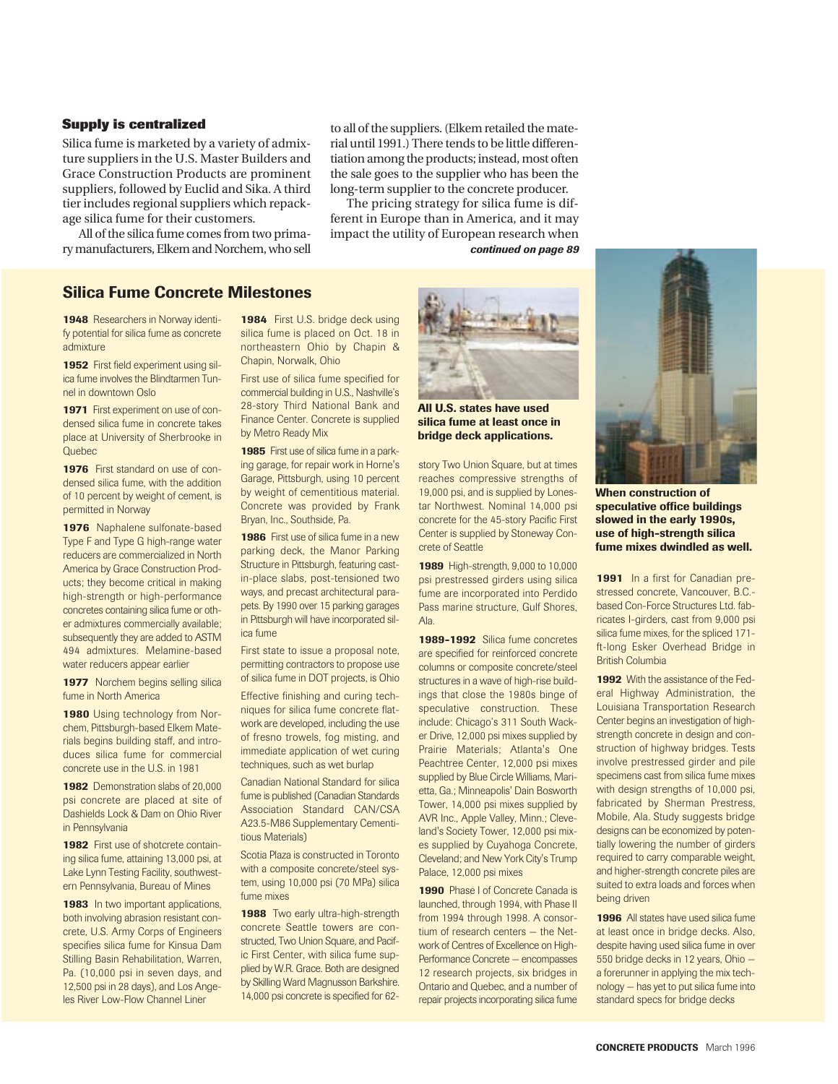#### **Supply is centralized**

Silica fume is marketed by a variety of admixture suppliers in the U.S. Master Builders and Grace Construction Products are prominent suppliers, followed by Euclid and Sika. A third tier includes regional suppliers which repackage silica fume for their customers.

All of the silica fume comes from two primary manufacturers, Elkem and Norchem, who sell to all of the suppliers. (Elkem retailed the material until 1991.) There tends to be little differentiation among the products; instead, most often the sale goes to the supplier who has been the long-term supplier to the concrete producer.

The pricing strategy for silica fume is different in Europe than in America, and it may impact the utility of European research when *continued on page 89*

## **Silica Fume Concrete Milestones**

**1948** Researchers in Norway identify potential for silica fume as concrete admixture

**1952** First field experiment using silica fume involves the Blindtarmen Tunnel in downtown Oslo

**1971** First experiment on use of condensed silica fume in concrete takes place at University of Sherbrooke in **Ouebec** 

**1976** First standard on use of condensed silica fume, with the addition of 10 percent by weight of cement, is permitted in Norway

**1976** Naphalene sulfonate-based Type F and Type G high-range water reducers are commercialized in North America by Grace Construction Products; they become critical in making high-strength or high-performance concretes containing silica fume or other admixtures commercially available; subsequently they are added to ASTM 494 admixtures. Melamine-based water reducers appear earlier

**1977** Norchem begins selling silica fume in North America

1980 Using technology from Norchem, Pittsburgh-based Elkem Materials begins building staff, and introduces silica fume for commercial concrete use in the U.S. in 1981

**1982** Demonstration slabs of 20,000 psi concrete are placed at site of Dashields Lock & Dam on Ohio River in Pennsylvania

**1982** First use of shotcrete containing silica fume, attaining 13,000 psi, at Lake Lynn Testing Facility, southwestern Pennsylvania, Bureau of Mines

**1983** In two important applications, both involving abrasion resistant concrete, U.S. Army Corps of Engineers specifies silica fume for Kinsua Dam Stilling Basin Rehabilitation, Warren, Pa. (10,000 psi in seven days, and 12,500 psi in 28 days), and Los Angeles River Low-Flow Channel Liner

1984 First U.S. bridge deck using silica fume is placed on Oct. 18 in northeastern Ohio by Chapin & Chapin, Norwalk, Ohio

First use of silica fume specified for commercial building in U.S., Nashville's 28-story Third National Bank and Finance Center. Concrete is supplied by Metro Ready Mix

**1985** First use of silica fume in a parking garage, for repair work in Horne's Garage, Pittsburgh, using 10 percent by weight of cementitious material. Concrete was provided by Frank Bryan, Inc., Southside, Pa.

**1986** First use of silica fume in a new parking deck, the Manor Parking Structure in Pittsburgh, featuring castin-place slabs, post-tensioned two ways, and precast architectural parapets. By 1990 over 15 parking garages in Pittsburgh will have incorporated silica fume

First state to issue a proposal note, permitting contractors to propose use of silica fume in DOT projects, is Ohio

Effective finishing and curing techniques for silica fume concrete flatwork are developed, including the use of fresno trowels, fog misting, and immediate application of wet curing techniques, such as wet burlap

Canadian National Standard for silica fume is published (Canadian Standards Association Standard CAN/CSA A23.5-M86 Supplementary Cementitious Materials)

Scotia Plaza is constructed in Toronto with a composite concrete/steel system, using 10,000 psi (70 MPa) silica fume mixes

**1988** Two early ultra-high-strength concrete Seattle towers are constructed, Two Union Square, and Pacific First Center, with silica fume supplied by W.R. Grace. Both are designed by Skilling Ward Magnusson Barkshire. 14,000 psi concrete is specified for 62-



**All U.S. states have used silica fume at least once in bridge deck applications.**

story Two Union Square, but at times reaches compressive strengths of 19,000 psi, and is supplied by Lonestar Northwest. Nominal 14,000 psi concrete for the 45-story Pacific First Center is supplied by Stoneway Concrete of Seattle

**1989** High-strength, 9,000 to 10,000 psi prestressed girders using silica fume are incorporated into Perdido Pass marine structure, Gulf Shores, Ala.

**1989-1992** Silica fume concretes are specified for reinforced concrete columns or composite concrete/steel structures in a wave of high-rise buildings that close the 1980s binge of speculative construction. These include: Chicago's 311 South Wacker Drive, 12,000 psi mixes supplied by Prairie Materials; Atlanta's One Peachtree Center, 12,000 psi mixes supplied by Blue Circle Williams, Marietta, Ga.; Minneapolis' Dain Bosworth Tower, 14,000 psi mixes supplied by AVR Inc., Apple Valley, Minn.; Cleveland's Society Tower, 12,000 psi mixes supplied by Cuyahoga Concrete, Cleveland; and New York City's Trump Palace, 12,000 psi mixes

**1990** Phase I of Concrete Canada is launched, through 1994, with Phase II from 1994 through 1998. A consortium of research centers — the Network of Centres of Excellence on High-Performance Concrete — encompasses 12 research projects, six bridges in Ontario and Quebec, and a number of repair projects incorporating silica fume



**When construction of speculative office buildings slowed in the early 1990s, use of high-strength silica fume mixes dwindled as well.**

1991 In a first for Canadian prestressed concrete, Vancouver, B.C. based Con-Force Structures Ltd. fabricates I-girders, cast from 9,000 psi silica fume mixes, for the spliced 171 ft-long Esker Overhead Bridge in British Columbia

**1992** With the assistance of the Federal Highway Administration, the Louisiana Transportation Research Center begins an investigation of highstrength concrete in design and construction of highway bridges. Tests involve prestressed girder and pile specimens cast from silica fume mixes with design strengths of 10,000 psi, fabricated by Sherman Prestress, Mobile, Ala. Study suggests bridge designs can be economized by potentially lowering the number of girders required to carry comparable weight, and higher-strength concrete piles are suited to extra loads and forces when being driven

**1996** All states have used silica fume at least once in bridge decks. Also, despite having used silica fume in over 550 bridge decks in 12 years, Ohio a forerunner in applying the mix technology — has yet to put silica fume into standard specs for bridge decks